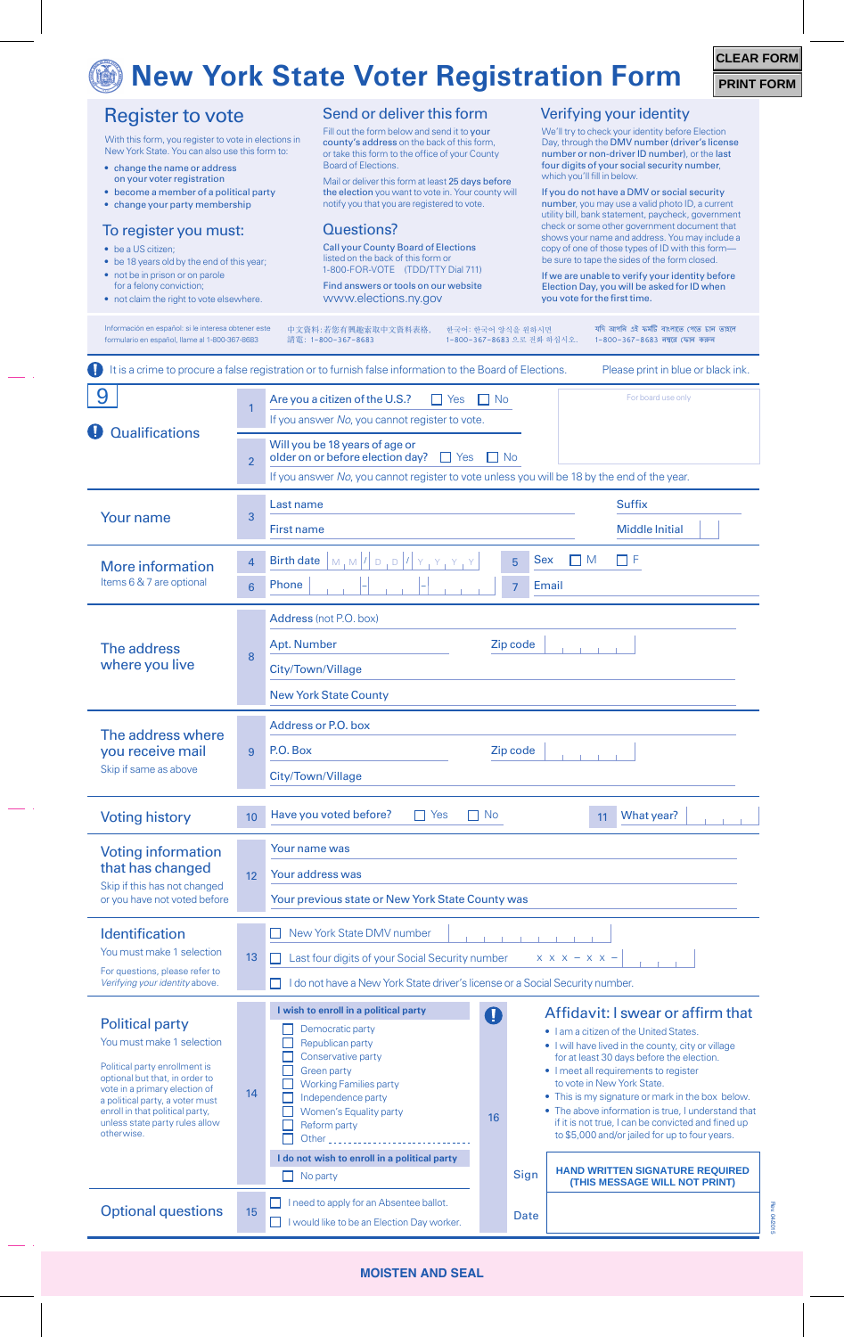## *<u>New York State Voter Registration Form</u>*

| <b>CLEAR FORM</b> |  |
|-------------------|--|
| <b>PRINT FORM</b> |  |

Rev. 04/2015

**GIOZ/PO** 

|                                                                                                                                                                                                                                                                               |                | <u>NEW TUIK SLALE VOLET NEGISLIALIUII FUITII</u>                                                                                                                                                                                                                                                                                                                                                                                                                                                                                                                                                                                                                                                                                                                                                                                               | <b>PRINT F</b> |  |
|-------------------------------------------------------------------------------------------------------------------------------------------------------------------------------------------------------------------------------------------------------------------------------|----------------|------------------------------------------------------------------------------------------------------------------------------------------------------------------------------------------------------------------------------------------------------------------------------------------------------------------------------------------------------------------------------------------------------------------------------------------------------------------------------------------------------------------------------------------------------------------------------------------------------------------------------------------------------------------------------------------------------------------------------------------------------------------------------------------------------------------------------------------------|----------------|--|
| <b>Register to vote</b><br>With this form, you register to vote in elections in<br>New York State. You can also use this form to:<br>• change the name or address<br>on your voter registration<br>• become a member of a political party<br>• change your party membership   |                | Send or deliver this form<br>Verifying your identity<br>Fill out the form below and send it to your<br>We'll try to check your identity before Election<br>county's address on the back of this form,<br>Day, through the DMV number (driver's license<br>number or non-driver ID number), or the last<br>or take this form to the office of your County<br><b>Board of Elections.</b><br>four digits of your social security number,<br>which you'll fill in below.<br>Mail or deliver this form at least 25 days before<br>the election you want to vote in. Your county will<br>If you do not have a DMV or social security<br>notify you that you are registered to vote.<br>number, you may use a valid photo ID, a current<br>utility bill, bank statement, paycheck, government                                                         |                |  |
| To register you must:<br>• be a US citizen;<br>• be 18 years old by the end of this year;<br>• not be in prison or on parole<br>for a felony conviction;<br>• not claim the right to vote elsewhere.                                                                          |                | check or some other government document that<br>Questions?<br>shows your name and address. You may include a<br><b>Call your County Board of Elections</b><br>copy of one of those types of ID with this form-<br>listed on the back of this form or<br>be sure to tape the sides of the form closed.<br>1-800-FOR-VOTE (TDD/TTY Dial 711)<br>If we are unable to verify your identity before<br>Find answers or tools on our website<br>Election Day, you will be asked for ID when<br>www.elections.ny.gov<br>you vote for the first time.                                                                                                                                                                                                                                                                                                   |                |  |
| Información en español: si le interesa obtener este<br>formulario en español, llame al 1-800-367-8683                                                                                                                                                                         |                | 中文資料:若您有興趣索取中文資料表格,<br>한국어: 한국어 양식을 원하시면<br>যদি আপনি এই ফৰ্মটি বাংলাতে পেতে চান তাহলে<br>1-800-367-8683 으로 전화 하십시오.<br>1-800-367-8683 নম্বরে ফোন করুন<br>請電:1-800-367-8683                                                                                                                                                                                                                                                                                                                                                                                                                                                                                                                                                                                                                                                                     |                |  |
|                                                                                                                                                                                                                                                                               |                | It is a crime to procure a false registration or to furnish false information to the Board of Elections.<br>Please print in blue or black ink.                                                                                                                                                                                                                                                                                                                                                                                                                                                                                                                                                                                                                                                                                                 |                |  |
| 9                                                                                                                                                                                                                                                                             | $\mathbf{1}$   | For board use only<br>Are you a citizen of the U.S.?<br>$\Box$ Yes<br>$\Box$ No<br>If you answer No, you cannot register to vote.                                                                                                                                                                                                                                                                                                                                                                                                                                                                                                                                                                                                                                                                                                              |                |  |
| <b>Qualifications</b>                                                                                                                                                                                                                                                         | $\overline{2}$ | Will you be 18 years of age or<br>older on or before election day?<br>$\Box$ Yes<br>$\blacksquare$ $\blacksquare$ $\blacksquare$<br>If you answer No, you cannot register to vote unless you will be 18 by the end of the year.                                                                                                                                                                                                                                                                                                                                                                                                                                                                                                                                                                                                                |                |  |
|                                                                                                                                                                                                                                                                               |                | <b>Suffix</b><br>Last name                                                                                                                                                                                                                                                                                                                                                                                                                                                                                                                                                                                                                                                                                                                                                                                                                     |                |  |
| <b>Your name</b>                                                                                                                                                                                                                                                              | 3              | <b>Middle Initial</b><br><b>First name</b>                                                                                                                                                                                                                                                                                                                                                                                                                                                                                                                                                                                                                                                                                                                                                                                                     |                |  |
| <b>More information</b>                                                                                                                                                                                                                                                       | $\overline{4}$ | M,M/I[D,D/I]<br><b>Birth date</b><br>⊓⊧<br><b>Sex</b><br>I I M<br>5                                                                                                                                                                                                                                                                                                                                                                                                                                                                                                                                                                                                                                                                                                                                                                            |                |  |
| Items 6 & 7 are optional                                                                                                                                                                                                                                                      | 6              | Phone<br>Email<br>$\overline{7}$                                                                                                                                                                                                                                                                                                                                                                                                                                                                                                                                                                                                                                                                                                                                                                                                               |                |  |
| The address<br>where you live                                                                                                                                                                                                                                                 | 8              | Address (not P.O. box)<br>Apt. Number<br>Zip code<br>City/Town/Village<br><b>New York State County</b>                                                                                                                                                                                                                                                                                                                                                                                                                                                                                                                                                                                                                                                                                                                                         |                |  |
| The address where<br>you receive mail<br>Skip if same as above                                                                                                                                                                                                                | 9              | Address or P.O. box<br>Zip code<br>P.O. Box<br>City/Town/Village                                                                                                                                                                                                                                                                                                                                                                                                                                                                                                                                                                                                                                                                                                                                                                               |                |  |
| <b>Voting history</b>                                                                                                                                                                                                                                                         | 10             | What year?<br>Have you voted before?<br>$\prod$ Yes<br>$\Box$ No<br>11                                                                                                                                                                                                                                                                                                                                                                                                                                                                                                                                                                                                                                                                                                                                                                         |                |  |
| <b>Voting information</b><br>that has changed<br>Skip if this has not changed<br>or you have not voted before                                                                                                                                                                 | 12             | Your name was<br>Your address was<br>Your previous state or New York State County was                                                                                                                                                                                                                                                                                                                                                                                                                                                                                                                                                                                                                                                                                                                                                          |                |  |
| Identification<br>You must make 1 selection<br>For questions, please refer to<br>Verifying your identity above.                                                                                                                                                               | 13             | New York State DMV number<br>$X$ $X$ $X$ $ X$ $X$ $-$<br>Last four digits of your Social Security number<br>I do not have a New York State driver's license or a Social Security number.                                                                                                                                                                                                                                                                                                                                                                                                                                                                                                                                                                                                                                                       |                |  |
| <b>Political party</b><br>You must make 1 selection<br>Political party enrollment is<br>optional but that, in order to<br>vote in a primary election of<br>a political party, a voter must<br>enroll in that political party,<br>unless state party rules allow<br>otherwise. | 14             | I wish to enroll in a political party<br>Affidavit: I swear or affirm that<br>$\bf{O}$<br>Democratic party<br>. I am a citizen of the United States.<br>Republican party<br>• I will have lived in the county, city or village<br>Conservative party<br>for at least 30 days before the election.<br><b>Green party</b><br>• I meet all requirements to register<br>to vote in New York State.<br><b>Working Families party</b><br>• This is my signature or mark in the box below.<br>Independence party<br>• The above information is true. I understand that<br>Women's Equality party<br>16<br>if it is not true, I can be convicted and fined up<br>Reform party<br>to \$5,000 and/or jailed for up to four years.<br>Other<br>I do not wish to enroll in a political party<br><b>HAND WRITTEN SIGNATURE REQUIRED</b><br>Sign<br>No party |                |  |
| <b>Optional questions</b>                                                                                                                                                                                                                                                     | 15             | (THIS MESSAGE WILL NOT PRINT)<br>I need to apply for an Absentee ballot.<br><b>Date</b><br>I would like to be an Election Day worker.                                                                                                                                                                                                                                                                                                                                                                                                                                                                                                                                                                                                                                                                                                          |                |  |